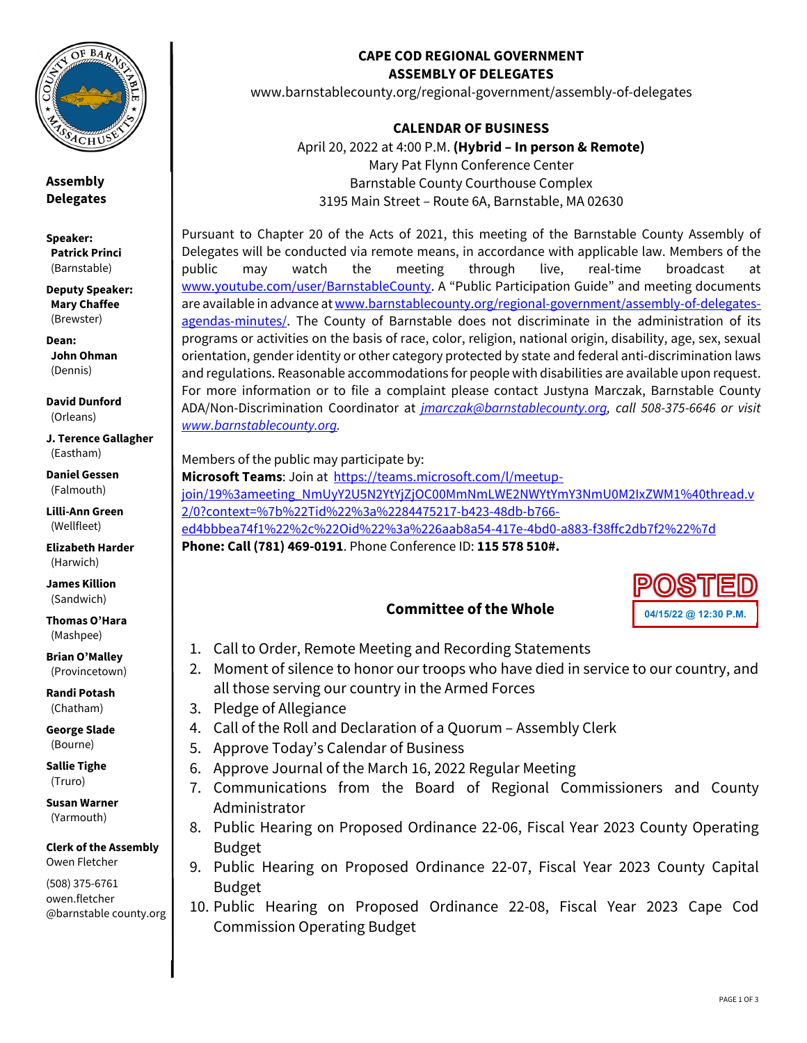

**Assembly Delegates** 

**Speaker: Patrick Princi** (Barnstable)

**Deputy Speaker: Mary Chaffee** (Brewster)

**Dean: John Ohman**  (Dennis)

**David Dunford**  (Orleans)

**J. Terence Gallagher**  (Eastham)

**Daniel Gessen**  (Falmouth)

**Lilli-Ann Green**  (Wellfleet)

**Elizabeth Harder**  (Harwich)

**James Killion**  (Sandwich)

**Thomas O'Hara**  (Mashpee)

**Brian O'Malley**  (Provincetown)

**Randi Potash**  (Chatham)

**George Slade**  (Bourne)

**Sallie Tighe**  (Truro)

**Susan Warner**  (Yarmouth)

**Clerk of the Assembly**  Owen Fletcher

(508) 375-6761 owen.fletcher @barnstable county.org

### **CAPE COD REGIONAL GOVERNMENT ASSEMBLY OF DELEGATES**

www.barnstablecounty.org/regional-government/assembly-of-delegates

**CALENDAR OF BUSINESS** 

April 20, 2022 at 4:00 P.M. **(Hybrid – In person & Remote)** Mary Pat Flynn Conference Center Barnstable County Courthouse Complex 3195 Main Street – Route 6A, Barnstable, MA 02630

Pursuant to Chapter 20 of the Acts of 2021, this meeting of the Barnstable County Assembly of Delegates will be conducted via remote means, in accordance with applicable law. Members of the public may watch the meeting through live, real-time broadcast at www.youtube.com/user/BarnstableCounty. A "Public Participation Guide" and meeting documents are available in advance at www.barnstablecounty.org/regional-government/assembly-of-delegatesagendas-minutes/. The County of Barnstable does not discriminate in the administration of its programs or activities on the basis of race, color, religion, national origin, disability, age, sex, sexual orientation, gender identity or other category protected by state and federal anti-discrimination laws and regulations. Reasonable accommodations for people with disabilities are available upon request. For more information or to file a complaint please contact Justyna Marczak, Barnstable County ADA/Non-Discrimination Coordinator at *jmarczak@barnstablecounty.org, call 508-375-6646 or visit www.barnstablecounty.org.*

Members of the public may participate by:

**Microsoft Teams**: Join at https://teams.microsoft.com/l/meetupjoin/19%3ameeting\_NmUyY2U5N2YtYjZjOC00MmNmLWE2NWYtYmY3NmU0M2IxZWM1%40thread.v 2/0?context=%7b%22Tid%22%3a%2284475217-b423-48db-b766 ed4bbbea74f1%22%2c%22Oid%22%3a%226aab8a54-417e-4bd0-a883-f38ffc2db7f2%22%7d **Phone: Call (781) 469-0191**. Phone Conference ID: **115 578 510#.**

# **04/15/22 @ 12:30 P.M.**

- **Committee of the Whole**
- 1. Call to Order, Remote Meeting and Recording Statements
- 2. Moment of silence to honor our troops who have died in service to our country, and all those serving our country in the Armed Forces
- 3. Pledge of Allegiance
- 4. Call of the Roll and Declaration of a Quorum Assembly Clerk
- 5. Approve Today's Calendar of Business
- 6. Approve Journal of the March 16, 2022 Regular Meeting
- 7. Communications from the Board of Regional Commissioners and County Administrator
- 8. Public Hearing on Proposed Ordinance 22-06, Fiscal Year 2023 County Operating Budget
- 9. Public Hearing on Proposed Ordinance 22-07, Fiscal Year 2023 County Capital Budget
- 10. Public Hearing on Proposed Ordinance 22-08, Fiscal Year 2023 Cape Cod Commission Operating Budget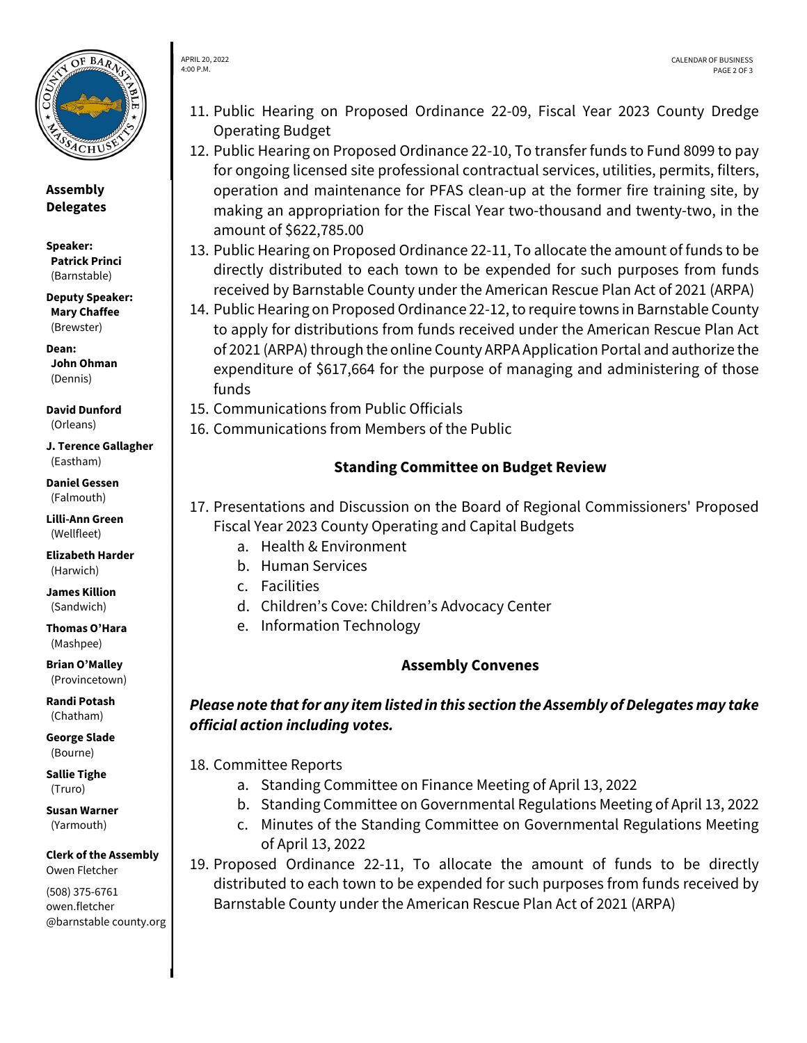

APRIL 20, 2022 4:00 P.M.

**Assembly Delegates** 

**Speaker: Patrick Princi** (Barnstable)

**Deputy Speaker: Mary Chaffee** (Brewster)

**Dean: John Ohman**  (Dennis)

**David Dunford**  (Orleans)

**J. Terence Gallagher**  (Eastham)

**Daniel Gessen**  (Falmouth)

**Lilli-Ann Green**  (Wellfleet)

**Elizabeth Harder**  (Harwich)

**James Killion**  (Sandwich)

**Thomas O'Hara**  (Mashpee)

**Brian O'Malley**  (Provincetown)

**Randi Potash**  (Chatham)

**George Slade**  (Bourne)

**Sallie Tighe**  (Truro)

**Susan Warner**  (Yarmouth)

**Clerk of the Assembly**  Owen Fletcher

(508) 375-6761 owen.fletcher @barnstable county.org

- 11. Public Hearing on Proposed Ordinance 22-09, Fiscal Year 2023 County Dredge Operating Budget
- 12. Public Hearing on Proposed Ordinance 22-10, To transfer funds to Fund 8099 to pay for ongoing licensed site professional contractual services, utilities, permits, filters, operation and maintenance for PFAS clean-up at the former fire training site, by making an appropriation for the Fiscal Year two-thousand and twenty-two, in the amount of \$622,785.00
- 13. Public Hearing on Proposed Ordinance 22-11, To allocate the amount of funds to be directly distributed to each town to be expended for such purposes from funds received by Barnstable County under the American Rescue Plan Act of 2021 (ARPA)
- 14. Public Hearing on Proposed Ordinance 22-12, to require towns in Barnstable County to apply for distributions from funds received under the American Rescue Plan Act of 2021 (ARPA) through the online County ARPA Application Portal and authorize the expenditure of \$617,664 for the purpose of managing and administering of those funds
- 15. Communications from Public Officials

16. Communications from Members of the Public

## **Standing Committee on Budget Review**

- 17. Presentations and Discussion on the Board of Regional Commissioners' Proposed Fiscal Year 2023 County Operating and Capital Budgets
	- a. Health & Environment
	- b. Human Services
	- c. Facilities
	- d. Children's Cove: Children's Advocacy Center
	- e. Information Technology

## **Assembly Convenes**

## *Please note that for any item listed in this section the Assembly of Delegates may take official action including votes.*

18. Committee Reports

- a. Standing Committee on Finance Meeting of April 13, 2022
- b. Standing Committee on Governmental Regulations Meeting of April 13, 2022
- c. Minutes of the Standing Committee on Governmental Regulations Meeting of April 13, 2022
- 19. Proposed Ordinance 22-11, To allocate the amount of funds to be directly distributed to each town to be expended for such purposes from funds received by Barnstable County under the American Rescue Plan Act of 2021 (ARPA)